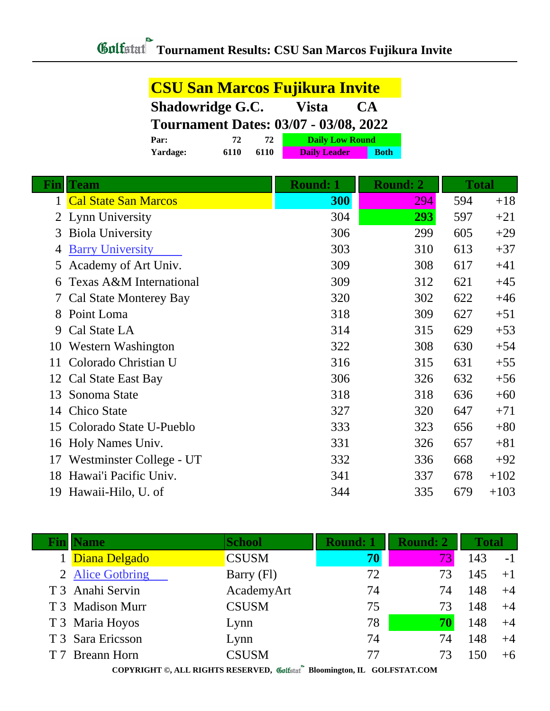| <b>CSU San Marcos Fujikura Invite</b>        |      |      |                        |             |  |
|----------------------------------------------|------|------|------------------------|-------------|--|
| <b>Shadowridge G.C.</b><br>Vista<br>CA       |      |      |                        |             |  |
| <b>Tournament Dates: 03/07 - 03/08, 2022</b> |      |      |                        |             |  |
| Par:                                         | 72   | 72   | <b>Daily Low Round</b> |             |  |
| Yardage:                                     | 6110 | 6110 | <b>Daily Leader</b>    | <b>Both</b> |  |

| Fin            | <b>Team</b>                   | <b>Round: 1</b> | <b>Round: 2</b> | <b>Total</b> |        |
|----------------|-------------------------------|-----------------|-----------------|--------------|--------|
| 1              | <b>Cal State San Marcos</b>   | 300             | 294             | 594          | $+18$  |
| $\overline{2}$ | Lynn University               | 304             | 293             | 597          | $+21$  |
| 3              | <b>Biola University</b>       | 306             | 299             | 605          | $+29$  |
| 4              | <b>Barry University</b>       | 303             | 310             | 613          | $+37$  |
| 5              | Academy of Art Univ.          | 309             | 308             | 617          | $+41$  |
| 6              | Texas A&M International       | 309             | 312             | 621          | $+45$  |
| 7              | <b>Cal State Monterey Bay</b> | 320             | 302             | 622          | $+46$  |
| 8              | Point Loma                    | 318             | 309             | 627          | $+51$  |
| 9              | Cal State LA                  | 314             | 315             | 629          | $+53$  |
| 10             | Western Washington            | 322             | 308             | 630          | $+54$  |
| 11             | Colorado Christian U          | 316             | 315             | 631          | $+55$  |
| 12             | Cal State East Bay            | 306             | 326             | 632          | $+56$  |
| 13             | Sonoma State                  | 318             | 318             | 636          | $+60$  |
| 14             | Chico State                   | 327             | 320             | 647          | $+71$  |
| 15             | Colorado State U-Pueblo       | 333             | 323             | 656          | $+80$  |
| 16             | Holy Names Univ.              | 331             | 326             | 657          | $+81$  |
| 17             | Westminster College - UT      | 332             | 336             | 668          | $+92$  |
| 18             | Hawai'i Pacific Univ.         | 341             | 337             | 678          | $+102$ |
| 19             | Hawaii-Hilo, U. of            | 344             | 335             | 679          | $+103$ |

| <b>Name</b>       | <b>School</b> | <b>Round: 1</b> | <b>Round: 2</b> | <b>Total</b> |      |
|-------------------|---------------|-----------------|-----------------|--------------|------|
| Diana Delgado     | <b>CSUSM</b>  | 70              | 73\             | 143          | $-1$ |
| 2 Alice Gotbring  | Barry (Fl)    | 72              | 73              | 145          | $+1$ |
| T 3 Anahi Servin  | AcademyArt    | 74              | 74              | 148          | $+4$ |
| T 3 Madison Murr  | <b>CSUSM</b>  | 75              | 73              | 148          | $+4$ |
| T 3 Maria Hoyos   | Lynn          | 78              | 70              | 148          | $+4$ |
| T 3 Sara Ericsson | Lynn          | 74              | 74              | 148          | $+4$ |
| T 7 Breann Horn   | <b>CSUSM</b>  | 77              | 73              | 150          | $+6$ |
|                   |               |                 |                 |              |      |

**COPYRIGHT ©, ALL RIGHTS RESERVED, Bloomington, IL GOLFSTAT.COM**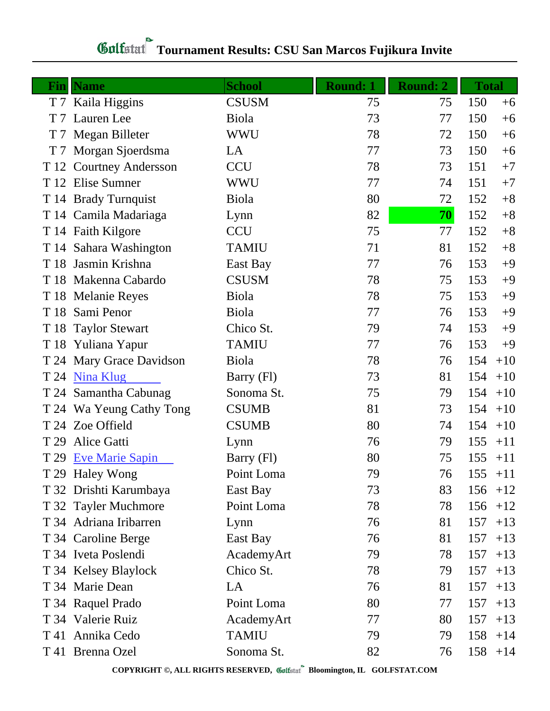## **Tournament Results: CSU San Marcos Fujikura Invite**

| $\mathbf{Fin}$ | <b>Name</b>              | <b>School</b> | <b>Round: 1</b> | <b>Round: 2</b> | <b>Total</b> |            |
|----------------|--------------------------|---------------|-----------------|-----------------|--------------|------------|
|                | T 7 Kaila Higgins        | <b>CSUSM</b>  | 75              | 75              | 150          | $+6$       |
| T <sub>7</sub> | Lauren Lee               | Biola         | 73              | 77              | 150          | $+6$       |
|                | T 7 Megan Billeter       | WWU           | 78              | 72              | 150          | $+6$       |
| T 7            | Morgan Sjoerdsma         | LA            | 77              | 73              | 150          | $+6$       |
|                | T 12 Courtney Andersson  | <b>CCU</b>    | 78              | 73              | 151          | $+7$       |
|                | T 12 Elise Sumner        | WWU           | 77              | 74              | 151          | $+7$       |
|                | T 14 Brady Turnquist     | <b>Biola</b>  | 80              | 72              | 152          | $+8$       |
|                | T 14 Camila Madariaga    | Lynn          | 82              | 70              | 152          | $+8$       |
|                | T 14 Faith Kilgore       | <b>CCU</b>    | 75              | 77              | 152          | $+8$       |
|                | T 14 Sahara Washington   | <b>TAMIU</b>  | 71              | 81              | 152          | $+8$       |
|                | T 18 Jasmin Krishna      | East Bay      | 77              | 76              | 153          | $+9$       |
|                | T 18 Makenna Cabardo     | <b>CSUSM</b>  | 78              | 75              | 153          | $+9$       |
|                | T 18 Melanie Reyes       | <b>Biola</b>  | 78              | 75              | 153          | $+9$       |
| T 18           | Sami Penor               | Biola         | 77              | 76              | 153          | $+9$       |
|                | T 18 Taylor Stewart      | Chico St.     | 79              | 74              | 153          | $+9$       |
|                | T 18 Yuliana Yapur       | <b>TAMIU</b>  | 77              | 76              | 153          | $+9$       |
|                | T 24 Mary Grace Davidson | <b>Biola</b>  | 78              | 76              | 154          | $+10$      |
|                | T 24 Nina Klug           | Barry (Fl)    | 73              | 81              | 154          | $+10$      |
|                | T 24 Samantha Cabunag    | Sonoma St.    | 75              | 79              | 154          | $+10$      |
|                | T 24 Wa Yeung Cathy Tong | <b>CSUMB</b>  | 81              | 73              | 154          | $+10$      |
|                | T 24 Zoe Offield         | <b>CSUMB</b>  | 80              | 74              | 154          | $+10$      |
| T 29           | Alice Gatti              | Lynn          | 76              | 79              | 155          | $+11$      |
|                | T 29 Eve Marie Sapin     | Barry (Fl)    | 80              | 75              | 155          | $+11$      |
|                | T 29 Haley Wong          | Point Loma    | 79              | 76              |              | $155 + 11$ |
|                | T 32 Drishti Karumbaya   | East Bay      | 73              | 83              |              | $156 + 12$ |
|                | T 32 Tayler Muchmore     | Point Loma    | 78              | 78              | 156          | $+12$      |
|                | T 34 Adriana Iribarren   | Lynn          | 76              | 81              | 157          | $+13$      |
|                | T 34 Caroline Berge      | East Bay      | 76              | 81              | 157          | $+13$      |
|                | T 34 Iveta Poslendi      | AcademyArt    | 79              | 78              | 157          | $+13$      |
|                | T 34 Kelsey Blaylock     | Chico St.     | 78              | 79              | 157          | $+13$      |
|                | T 34 Marie Dean          | LA            | 76              | 81              | 157          | $+13$      |
|                | T 34 Raquel Prado        | Point Loma    | 80              | 77              | 157          | $+13$      |
|                | T 34 Valerie Ruiz        | AcademyArt    | 77              | 80              | 157          | $+13$      |
|                | T 41 Annika Cedo         | <b>TAMIU</b>  | 79              | 79              | 158          | $+14$      |
|                | T 41 Brenna Ozel         | Sonoma St.    | 82              | 76              | 158          | $+14$      |

**COPYRIGHT ©, ALL RIGHTS RESERVED, Bloomington, IL GOLFSTAT.COM**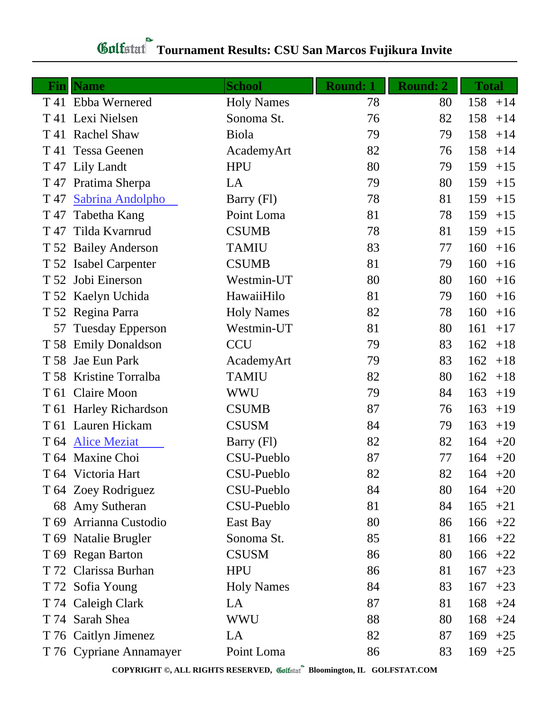## **Tournament Results: CSU San Marcos Fujikura Invite**

|                 | <b>Fin</b>   Name       | <b>School</b>     | <b>Round: 1</b> | <b>Round: 2</b> | <b>Total</b> |
|-----------------|-------------------------|-------------------|-----------------|-----------------|--------------|
|                 | T 41 Ebba Wernered      | <b>Holy Names</b> | 78              | 80              | 158<br>$+14$ |
|                 | T 41 Lexi Nielsen       | Sonoma St.        | 76              | 82              | 158<br>$+14$ |
|                 | T 41 Rachel Shaw        | <b>Biola</b>      | 79              | 79              | 158<br>$+14$ |
|                 | T 41 Tessa Geenen       | AcademyArt        | 82              | 76              | 158<br>$+14$ |
|                 | T 47 Lily Landt         | <b>HPU</b>        | 80              | 79              | 159<br>$+15$ |
| T 47            | Pratima Sherpa          | LA                | 79              | 80              | 159<br>$+15$ |
| T 47            | Sabrina Andolpho        | Barry (Fl)        | 78              | 81              | 159<br>$+15$ |
| T 47            | Tabetha Kang            | Point Loma        | 81              | 78              | 159<br>$+15$ |
| T 47            | Tilda Kvarnrud          | <b>CSUMB</b>      | 78              | 81              | 159<br>$+15$ |
|                 | T 52 Bailey Anderson    | <b>TAMIU</b>      | 83              | 77              | 160<br>$+16$ |
|                 | T 52 Isabel Carpenter   | <b>CSUMB</b>      | 81              | 79              | 160<br>$+16$ |
|                 | T 52 Jobi Einerson      | Westmin-UT        | 80              | 80              | 160<br>$+16$ |
|                 | T 52 Kaelyn Uchida      | HawaiiHilo        | 81              | 79              | 160<br>$+16$ |
|                 | T 52 Regina Parra       | <b>Holy Names</b> | 82              | 78              | 160<br>$+16$ |
| 57              | <b>Tuesday Epperson</b> | Westmin-UT        | 81              | 80              | 161<br>$+17$ |
|                 | T 58 Emily Donaldson    | <b>CCU</b>        | 79              | 83              | 162<br>$+18$ |
|                 | T 58 Jae Eun Park       | AcademyArt        | 79              | 83              | 162<br>$+18$ |
|                 | T 58 Kristine Torralba  | <b>TAMIU</b>      | 82              | 80              | 162<br>$+18$ |
|                 | T 61 Claire Moon        | WWU               | 79              | 84              | 163<br>$+19$ |
|                 | T 61 Harley Richardson  | <b>CSUMB</b>      | 87              | 76              | 163<br>$+19$ |
|                 | T 61 Lauren Hickam      | <b>CSUSM</b>      | 84              | 79              | 163<br>$+19$ |
|                 | T 64 Alice Meziat       | Barry (Fl)        | 82              | 82              | 164<br>$+20$ |
|                 | T 64 Maxine Choi        | CSU-Pueblo        | 87              | 77              | 164<br>$+20$ |
|                 | T 64 Victoria Hart      | CSU-Pueblo        | 82              | 82              | 164<br>$+20$ |
|                 | T 64 Zoey Rodriguez     | CSU-Pueblo        | 84              | 80              | $164 + 20$   |
|                 | 68 Amy Sutheran         | CSU-Pueblo        | 81              | 84              | 165<br>$+21$ |
| T <sub>69</sub> | Arrianna Custodio       | East Bay          | 80              | 86              | 166<br>$+22$ |
|                 | T 69 Natalie Brugler    | Sonoma St.        | 85              | 81              | 166<br>$+22$ |
|                 | T 69 Regan Barton       | <b>CSUSM</b>      | 86              | 80              | 166<br>$+22$ |
|                 | T 72 Clarissa Burhan    | <b>HPU</b>        | 86              | 81              | 167<br>$+23$ |
|                 | T 72 Sofia Young        | <b>Holy Names</b> | 84              | 83              | 167<br>$+23$ |
|                 | T 74 Caleigh Clark      | LA                | 87              | 81              | 168<br>$+24$ |
|                 | T 74 Sarah Shea         | <b>WWU</b>        | 88              | 80              | 168<br>$+24$ |
|                 | T 76 Caitlyn Jimenez    | LA                | 82              | 87              | 169<br>$+25$ |
|                 | T 76 Cypriane Annamayer | Point Loma        | 86              | 83              | 169<br>$+25$ |

**COPYRIGHT ©, ALL RIGHTS RESERVED, Bloomington, IL GOLFSTAT.COM**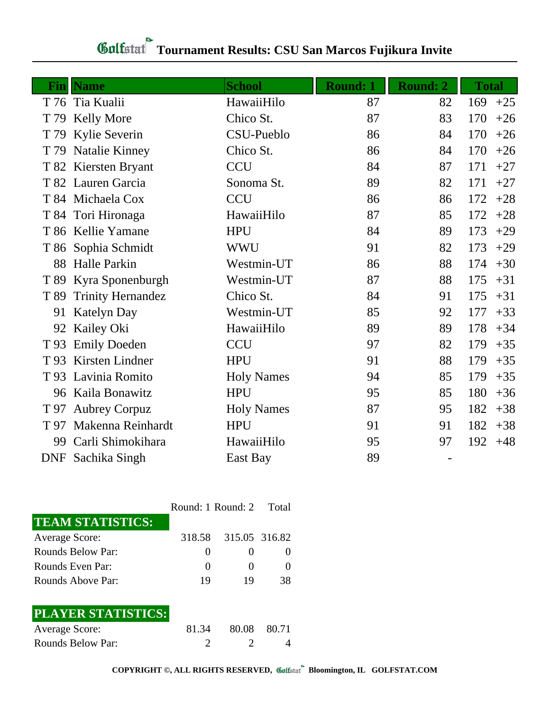## **Tournament Results: CSU San Marcos Fujikura Invite**

| Finll | <b>Name</b>              | <b>School</b>     | <b>Round: 1</b> | <b>Round: 2</b> | <b>Total</b> |
|-------|--------------------------|-------------------|-----------------|-----------------|--------------|
|       | T 76 Tia Kualii          | HawaiiHilo        | 87              | 82              | 169<br>$+25$ |
| T 79  | <b>Kelly More</b>        | Chico St.         | 87              | 83              | 170<br>$+26$ |
| T 79  | Kylie Severin            | CSU-Pueblo        | 86              | 84              | 170<br>$+26$ |
| T 79  | Natalie Kinney           | Chico St.         | 86              | 84              | 170<br>$+26$ |
|       | T 82 Kiersten Bryant     | <b>CCU</b>        | 84              | 87              | 171<br>$+27$ |
|       | T 82 Lauren Garcia       | Sonoma St.        | 89              | 82              | 171<br>$+27$ |
|       | T 84 Michaela Cox        | <b>CCU</b>        | 86              | 86              | 172<br>$+28$ |
|       | T 84 Tori Hironaga       | HawaiiHilo        | 87              | 85              | 172<br>$+28$ |
|       | T 86 Kellie Yamane       | <b>HPU</b>        | 84              | 89              | 173<br>$+29$ |
|       | T 86 Sophia Schmidt      | <b>WWU</b>        | 91              | 82              | 173<br>$+29$ |
| 88    | <b>Halle Parkin</b>      | Westmin-UT        | 86              | 88              | 174<br>$+30$ |
|       | T 89 Kyra Sponenburgh    | Westmin-UT        | 87              | 88              | 175<br>$+31$ |
| T 89  | <b>Trinity Hernandez</b> | Chico St.         | 84              | 91              | 175<br>$+31$ |
| 91    | <b>Katelyn Day</b>       | Westmin-UT        | 85              | 92              | 177<br>$+33$ |
| 92    | Kailey Oki               | HawaiiHilo        | 89              | 89              | 178<br>$+34$ |
| T 93  | <b>Emily Doeden</b>      | <b>CCU</b>        | 97              | 82              | 179<br>$+35$ |
| T 93  | Kirsten Lindner          | <b>HPU</b>        | 91              | 88              | 179<br>$+35$ |
|       | T 93 Lavinia Romito      | <b>Holy Names</b> | 94              | 85              | 179<br>$+35$ |
|       | 96 Kaila Bonawitz        | <b>HPU</b>        | 95              | 85              | 180<br>$+36$ |
| T 97  | <b>Aubrey Corpuz</b>     | <b>Holy Names</b> | 87              | 95              | 182<br>$+38$ |
| T 97  | Makenna Reinhardt        | <b>HPU</b>        | 91              | 91              | 182<br>$+38$ |
| 99    | Carli Shimokihara        | HawaiiHilo        | 95              | 97              | 192<br>$+48$ |
|       | DNF Sachika Singh        | East Bay          | 89              |                 |              |

|                           | Round: 1 Round: 2 Total |                      |    |
|---------------------------|-------------------------|----------------------|----|
| <b>TEAM STATISTICS:</b>   |                         |                      |    |
| <b>Average Score:</b>     |                         | 318.58 315.05 316.82 |    |
| Rounds Below Par:         | $\mathbf{\Omega}$       |                      |    |
| Rounds Even Par:          | $\theta$                |                      | 0  |
| Rounds Above Par:         | 19                      | 19                   | 38 |
|                           |                         |                      |    |
| <b>PLAYER STATISTICS:</b> |                         |                      |    |

| <b>Average Score:</b> | 81.34 | 80.08 80.71 |  |
|-----------------------|-------|-------------|--|
| Rounds Below Par:     |       |             |  |